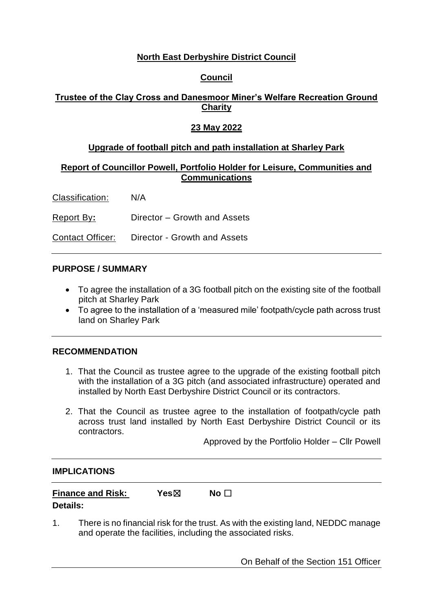## **North East Derbyshire District Council**

### **Council**

# **Trustee of the Clay Cross and Danesmoor Miner's Welfare Recreation Ground Charity**

### **23 May 2022**

## **Upgrade of football pitch and path installation at Sharley Park**

### **Report of Councillor Powell, Portfolio Holder for Leisure, Communities and Communications**

Classification: N/A

Report By**:** Director – Growth and Assets

Contact Officer: Director - Growth and Assets

### **PURPOSE / SUMMARY**

- To agree the installation of a 3G football pitch on the existing site of the football pitch at Sharley Park
- To agree to the installation of a 'measured mile' footpath/cycle path across trust land on Sharley Park

### **RECOMMENDATION**

- 1. That the Council as trustee agree to the upgrade of the existing football pitch with the installation of a 3G pitch (and associated infrastructure) operated and installed by North East Derbyshire District Council or its contractors.
- 2. That the Council as trustee agree to the installation of footpath/cycle path across trust land installed by North East Derbyshire District Council or its contractors.

Approved by the Portfolio Holder – Cllr Powell

#### **IMPLICATIONS**

| <b>Finance and Risk:</b> | Yes⊠ | No $\Box$ |  |
|--------------------------|------|-----------|--|
| <b>Details:</b>          |      |           |  |

1. There is no financial risk for the trust. As with the existing land, NEDDC manage and operate the facilities, including the associated risks.

On Behalf of the Section 151 Officer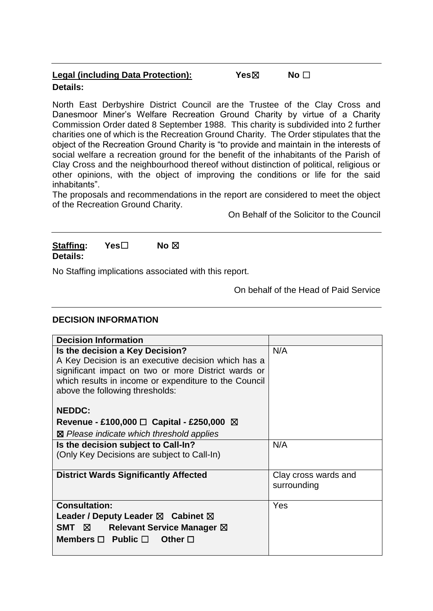| <b>Legal (including Data Protection):</b> | Yes⊠ | No $\Box$ |
|-------------------------------------------|------|-----------|
| <b>Details:</b>                           |      |           |

North East Derbyshire District Council are the Trustee of the Clay Cross and Danesmoor Miner's Welfare Recreation Ground Charity by virtue of a Charity Commission Order dated 8 September 1988. This charity is subdivided into 2 further charities one of which is the Recreation Ground Charity. The Order stipulates that the object of the Recreation Ground Charity is "to provide and maintain in the interests of social welfare a recreation ground for the benefit of the inhabitants of the Parish of Clay Cross and the neighbourhood thereof without distinction of political, religious or other opinions, with the object of improving the conditions or life for the said inhabitants".

The proposals and recommendations in the report are considered to meet the object of the Recreation Ground Charity.

On Behalf of the Solicitor to the Council

**Staffing: Yes**☐ **No** ☒ **Details:**

No Staffing implications associated with this report.

On behalf of the Head of Paid Service

#### **DECISION INFORMATION**

| <b>Decision Information</b>                                                                                                                                                                                                               |                                     |
|-------------------------------------------------------------------------------------------------------------------------------------------------------------------------------------------------------------------------------------------|-------------------------------------|
| Is the decision a Key Decision?<br>A Key Decision is an executive decision which has a<br>significant impact on two or more District wards or<br>which results in income or expenditure to the Council<br>above the following thresholds: | N/A                                 |
| <b>NEDDC:</b><br>Revenue - £100,000 $\Box$ Capital - £250,000 $\boxtimes$<br>⊠ Please indicate which threshold applies                                                                                                                    |                                     |
| Is the decision subject to Call-In?<br>(Only Key Decisions are subject to Call-In)                                                                                                                                                        | N/A                                 |
| <b>District Wards Significantly Affected</b>                                                                                                                                                                                              | Clay cross wards and<br>surrounding |
| <b>Consultation:</b><br>Leader / Deputy Leader $\boxtimes$ Cabinet $\boxtimes$<br>$SMT \quad \boxtimes$<br><b>Relevant Service Manager ⊠</b><br>Members $\Box$ Public $\Box$ Other $\Box$                                                 | Yes                                 |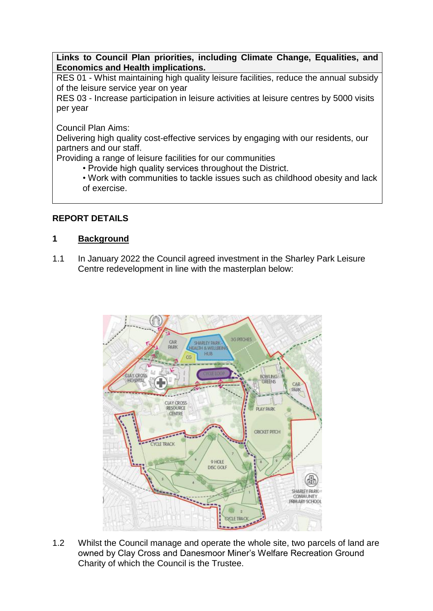**Links to Council Plan priorities, including Climate Change, Equalities, and Economics and Health implications.**

RES 01 - Whist maintaining high quality leisure facilities, reduce the annual subsidy of the leisure service year on year

RES 03 - Increase participation in leisure activities at leisure centres by 5000 visits per year

Council Plan Aims:

Delivering high quality cost-effective services by engaging with our residents, our partners and our staff.

Providing a range of leisure facilities for our communities

• Provide high quality services throughout the District.

• Work with communities to tackle issues such as childhood obesity and lack of exercise.

# **REPORT DETAILS**

### **1 Background**

1.1 In January 2022 the Council agreed investment in the Sharley Park Leisure Centre redevelopment in line with the masterplan below:



1.2 Whilst the Council manage and operate the whole site, two parcels of land are owned by Clay Cross and Danesmoor Miner's Welfare Recreation Ground Charity of which the Council is the Trustee.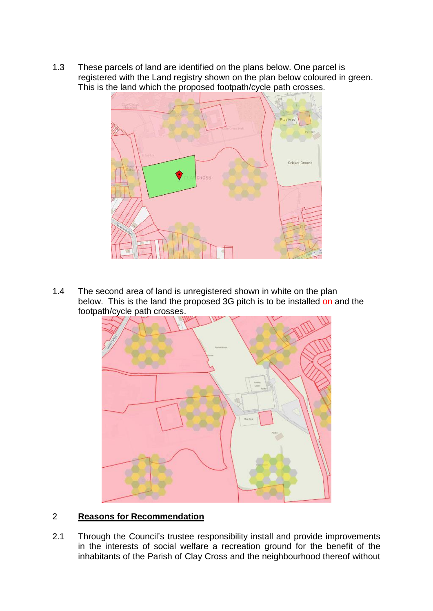1.3 These parcels of land are identified on the plans below. One parcel is registered with the Land registry shown on the plan below coloured in green. This is the land which the proposed footpath/cycle path crosses.



1.4 The second area of land is unregistered shown in white on the plan below. This is the land the proposed 3G pitch is to be installed on and the footpath/cycle path crosses.



#### 2 **Reasons for Recommendation**

2.1 Through the Council's trustee responsibility install and provide improvements in the interests of social welfare a recreation ground for the benefit of the inhabitants of the Parish of Clay Cross and the neighbourhood thereof without